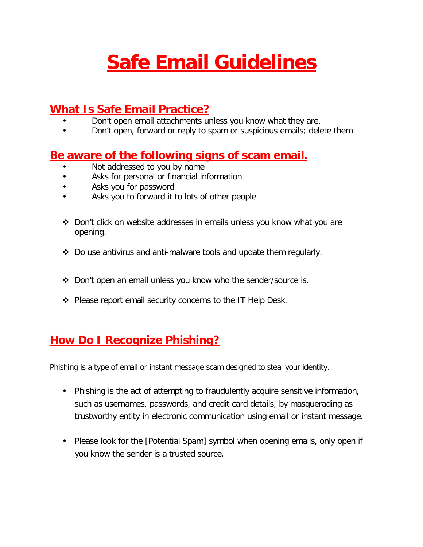# **Safe Email Guidelines**

## **What Is Safe Email Practice?**

- Don't open email attachments unless you know what they are.
- Don't open, forward or reply to spam or suspicious emails; delete them

#### **Be aware of the following signs of scam email.**

- Not addressed to you by name
- Asks for personal or financial information
- Asks you for password
- Asks you to forward it to lots of other people
- ❖ Don't click on website addresses in emails unless you know what you are opening.
- $\div$  Do use antivirus and anti-malware tools and update them regularly.
- ❖ Don't open an email unless you know who the sender/source is.
- ◆ Please report email security concerns to the IT Help Desk.

### **How Do I Recognize Phishing?**

Phishing is a type of email or instant message scam designed to steal your identity.

- Phishing is the act of attempting to fraudulently acquire sensitive information, such as usernames, passwords, and credit card details, by masquerading as trustworthy entity in electronic communication using email or instant message.
- Please look for the [Potential Spam] symbol when opening emails, only open if you know the sender is a trusted source.